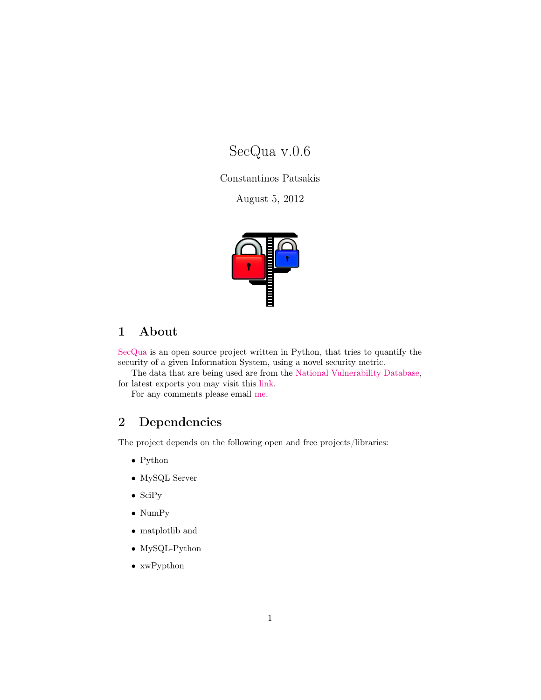# SecQua v.0.6

Constantinos Patsakis

August 5, 2012



# 1 About

[SecQua](https://sourceforge.net/projects/secqua/) is an open source project written in Python, that tries to quantify the security of a given Information System, using a novel security metric.

The data that are being used are from the [National Vulnerability Database,](http://nvd.nist.gov) for latest exports you may visit this [link.](http://nvd.nist.gov/download.cfm)

For any comments please email [me.](mailto:kpatsak@gmail.com)

# 2 Dependencies

The project depends on the following open and free projects/libraries:

- $\bullet\,$  Python
- MySQL Server
- SciPy
- NumPy
- matplotlib and
- MySQL-Python
- xwPypthon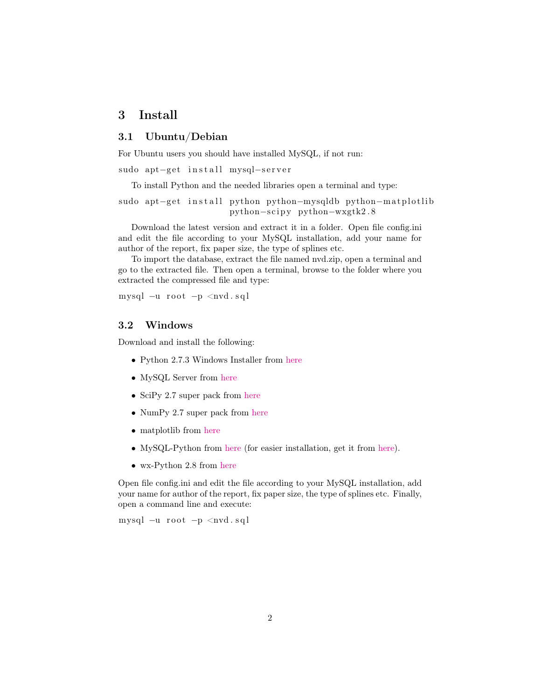### 3 Install

#### 3.1 Ubuntu/Debian

For Ubuntu users you should have installed MySQL, if not run:

sudo apt-get install mysql-server

To install Python and the needed libraries open a terminal and type:

sudo apt–get install python python-mysqldb python-matplotlib python−scipy python−wxgtk2.8

Download the latest version and extract it in a folder. Open file config.ini and edit the file according to your MySQL installation, add your name for author of the report, fix paper size, the type of splines etc.

To import the database, extract the file named nvd.zip, open a terminal and go to the extracted file. Then open a terminal, browse to the folder where you extracted the compressed file and type:

```
mysql −u root −p <nvd.sql
```
#### 3.2 Windows

Download and install the following:

- Python 2.7.3 Windows Installer from [here](http://www.python.org/download/)
- MySQL Server from [here](http://www.mysql.com/downloads/mysql/)
- SciPy 2.7 super pack from [here](http://sourceforge.net/projects/scipy/files/)
- NumPy 2.7 super pack from [here](http://sourceforge.net/projects/numpy/files/)
- matplotlib from [here](http://sourceforge.net/projects/matplotlib/)
- MySQL-Python from [here](http://pypi.python.org/pypi/MySQL-python/) (for easier installation, get it from [here\)](http://www.lfd.uci.edu/~gohlke/pythonlibs/).
- wx-Python 2.8 from [here](http://wxpython.org/download.php)

Open file config.ini and edit the file according to your MySQL installation, add your name for author of the report, fix paper size, the type of splines etc. Finally, open a command line and execute:

mysql −u root −p <nvd.sql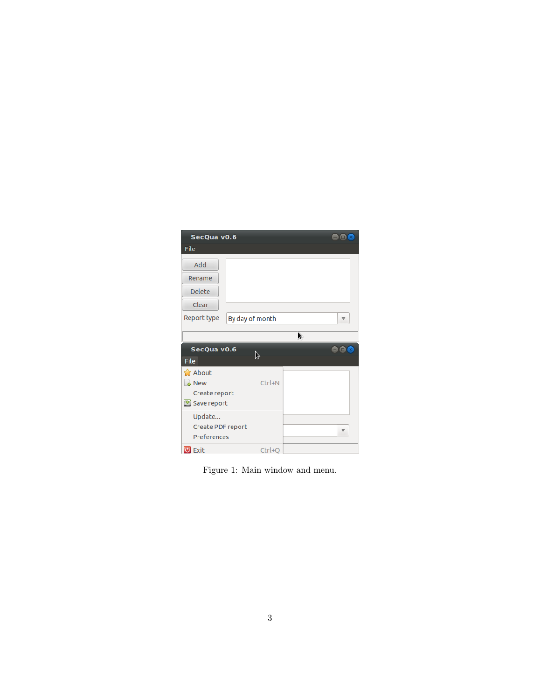<span id="page-2-0"></span>

Figure 1: Main window and menu.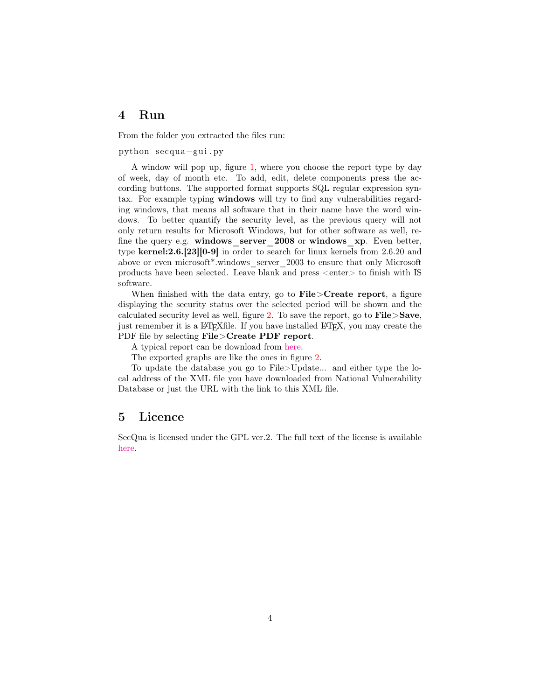## 4 Run

From the folder you extracted the files run:

python secqua−g ui . py

A window will pop up, figure [1,](#page-2-0) where you choose the report type by day of week, day of month etc. To add, edit, delete components press the according buttons. The supported format supports SQL regular expression syntax. For example typing windows will try to find any vulnerabilities regarding windows, that means all software that in their name have the word windows. To better quantify the security level, as the previous query will not only return results for Microsoft Windows, but for other software as well, refine the query e.g. windows\_server\_2008 or windows\_xp. Even better, type kernel:2.6.[23][0-9] in order to search for linux kernels from 2.6.20 and above or even microsoft\*.windows\_server\_2003 to ensure that only Microsoft products have been selected. Leave blank and press <enter> to finish with IS software.

When finished with the data entry, go to  $\text{File} > \text{Create report}$ , a figure displaying the security status over the selected period will be shown and the calculated security level as well, figure [2.](#page-4-0) To save the report, go to  $\text{File}\text{>}$ Save, just remember it is a LAT<sub>E</sub>Xfile. If you have installed LAT<sub>E</sub>X, you may create the PDF file by selecting **File**>Create PDF report.

A typical report can be download from [here.](http://cs.unipi.gr/kpatsak/secqua/example.pdf)

The exported graphs are like the ones in figure [2.](#page-4-0)

To update the database you go to File>Update... and either type the local address of the XML file you have downloaded from National Vulnerability Database or just the URL with the link to this XML file.

## 5 Licence

SecQua is licensed under the GPL ver.2. The full text of the license is available [here.](http://www.gnu.org/licenses/old-licenses/gpl-2.0.html)